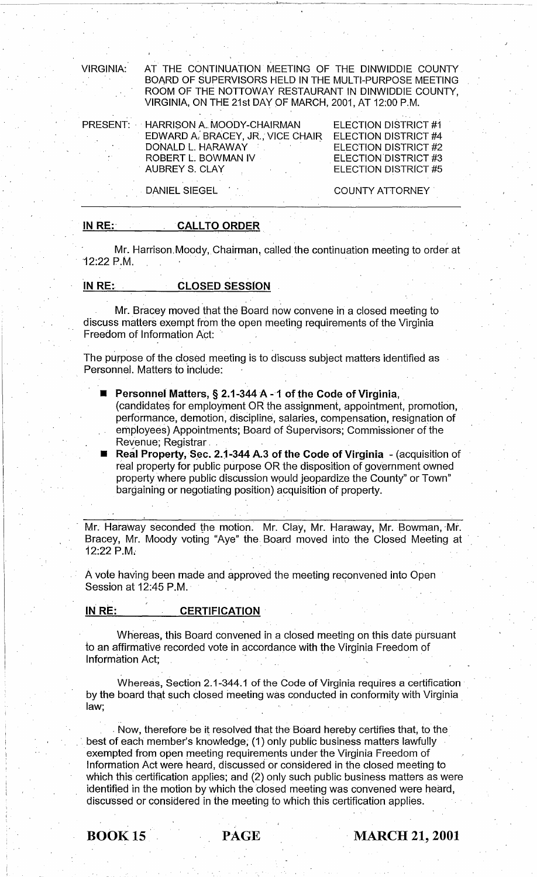VIRGINIA: AT THE CONTINUATION MEETING OF THE DINWIDDIE COUNTY BOARD OF SUPERVISORS HELD IN THE MULTI-PURPOSE MEETING ROOM OF THE NOTTOWAY RESTAURANT IN DINWIDDIE COUNTY, VIRGINIA, ON THE 21st DAY OF MARCH, 2001, AT 12:00 P.M.

 $\mathbf{I}$  .

PRESENT: HARRISON A. MOODY-CHAIRMAN EDWARD A: BRACEY, JR.,' VICE CHAIR. DONALD L. HARAWAY ROBERT L. BOWMAN IV AUBREY S. CLAY

ELECTION DISTRICT #1 ELECTION DISTRICT #4 ELECTION DISTRICT #2 ELECTION DISTRICT #3 ELECTION DISTRICT #5

DANIEL SIEGEL

COUNTY ATTORNEY'

### IN RE: CALL TO ORDER

CALLTO ORDER<br>Mr. Harrison Moody, Chairman, called the continuation meeting to order at . '12:22 p.M. .

# IN RE: CLOSED SESSION

. The contribution of the contribution of the contribution of the contribution of the contribution of the contribution of the contribution of the contribution of the contribution of the contribution of the contribution of Mr. Bracey moved that the Board now convene in a closed meeting to discuss matters exempt from the open meeting requirements of the Virginia Freedom of Information Act:

. The contract of the contract of the contract of the contract of the contract of the contract of the contract of the contract of the contract of the contract of the contract of the contract of the contract of the contrac The purpose of the closed meeting is to discuss subject matters identified as Personnel. Matters to include:

■ Personnel Matters, § 2.1-344 A - 1 of the Code of Virginia,

(candidates for employment OR the assignment, appointment, promotion, performance, demotion, discipline, salaries, compensation, resignation of employees) Appointments; Board of Supervisors; Commissioner of the Revenue: Registrar

Real Property, Sec. 2.1-344 A.3 of the Code of Virginia - (acquisition of real property for public purpose OR the disposition of government owned property where public discussion wpuld jeopardize the County" or Town" bargaining or negotiating position) acquisition of property.

Mr. Haraway seconded the motion. Mr. Clay, Mr. Haraway, Mr. Bowman, Mr. Bracey, Mr. Moody voting "Aye" the Board moved into the Closed Meeting at . 12:22 P.M.. .

A vote having been made and approved the meeting reconvened into Open Session at 12:45 P.M.

#### INRE: CERTIFICATION

Whereas, this Board convened in a closed meeting on this date pursuant to an affirmative recorded vote in accordance with the Virginia Freedom of Information Act;

Whereas, Section 2.1-344.1 of the Code of Virginia requires a certification by the board that such closed meeting was conducted in conformity with Virginia. law; the state of the state of the state  $\mathcal{L}$  , and  $\mathcal{L}$  , and  $\mathcal{L}$  , and  $\mathcal{L}$ 

. Now, therefore be it resolved that the Board hereby certifies that, to the best of each member's knowledge; (1) only public business matters lawfully exempted from open meeting requirements under the Virginia Freedom of Information Act were heard, discussed or considered in the closed meeting to which this certification applies; and (2) only such public business matters as were identified in the motion by which the dosed meeting was convened were heard, discussed or considered in the meeting to which this certification applies.

## **BOOK 15 PAGE MARCH 21, 2001**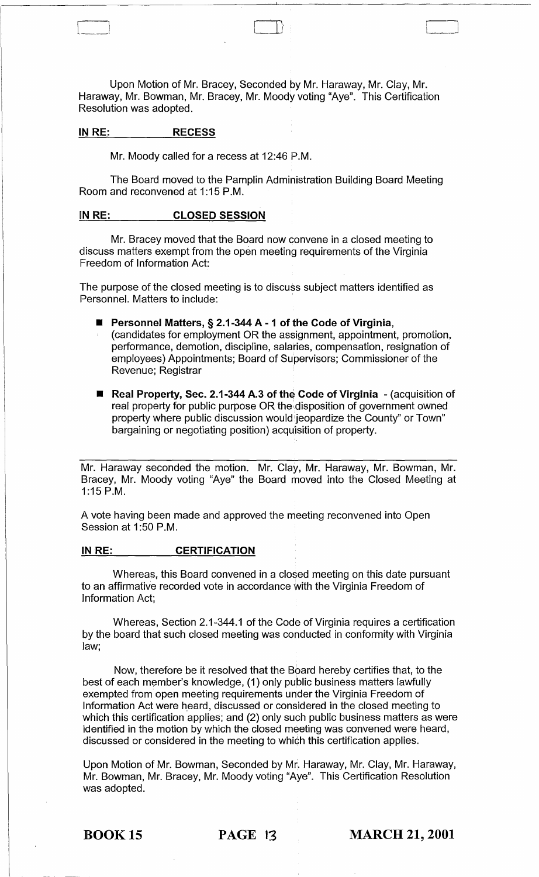Upon Motion of Mr. Bracey, Seconded by Mr. Haraway, Mr. Clay, Mr. Haraway, Mr. Bowman, Mr. Bracey, Mr. Moody voting "Aye". This Certification Resolution was adopted.

 $\Box$ 

### IN RE: RECESS

Mr. Moody called for a recess at 12:46 P.M.

The Board moved to the Pamplin Administration Building Board Meeting Room and reconvened at 1:15 P.M.

#### IN RE: CLOSED SESSION

Mr. Bracey moved that the Board now convene in a closed meeting to discuss matters exempt from the open meeting requirements of the Virginia Freedom of Information Act:

The purpose of the closed meeting is to discuss subject matters identified as Personnel. Matters to include:

- Personnel Matters, § 2.1-344 A 1 of the Code of Virginia,
	- (candidates for employment OR the assignment, appointment, promotion, performance, demotion, discipline, salaries, compensation, resignation of employees) Appointments; Board of Su'pervisors; Commissioner of the Revenue; Registrar
- Real Property, Sec. 2.1-344 A.3 of the Code of Virginia (acquisition of real property for public purpose OR the disposition of government owned property where public discussion would'jeopardize the County" or Town" bargaining or negotiating position) acquisition of property.

Mr. Haraway seconded the motion. Mr. Clay, Mr. Haraway, Mr. Bowman, Mr. Bracey, Mr. Moody voting "Aye" the Board moved into the Closed Meeting at 1:15 P.M.

A vote having been made and approved the meeting reconvened into Open Session at 1:50 P.M.

### INRE: CERTIFICATION

Whereas, this Board convened in a closed meeting on this date pursuant to an affirmative recorded vote in accordance with the Virginia Freedom of Information Act:

Whereas, Section 2.1-344.1 of the Code of Virginia requires a certification by the board that such closed meeting was conducted in conformity with Virginia law;

Now, therefore be it resolved that the Board hereby certifies that, to the best of each member's knowledge, (1) only public business matters lawfully exempted from open meeting requirements under the Virginia Freedom of Information Act were heard, discussed or considered in the closed meeting to which this certification applies; and (2) only such public business matters as were identified in the motion by which the closed meeting was convened were heard, discussed or considered in the meeting to which this certification applies.

Upon Motion of Mr. Bowman, Seconded by Mr. Haraway, Mr. Clay, Mr. Haraway, Mr. Bowman, Mr. Bracey, Mr. Moody voting "Aye". This Certification Resolution was adopted.

**BOOK 15 PAGE 13 MARCH 21, 2001**